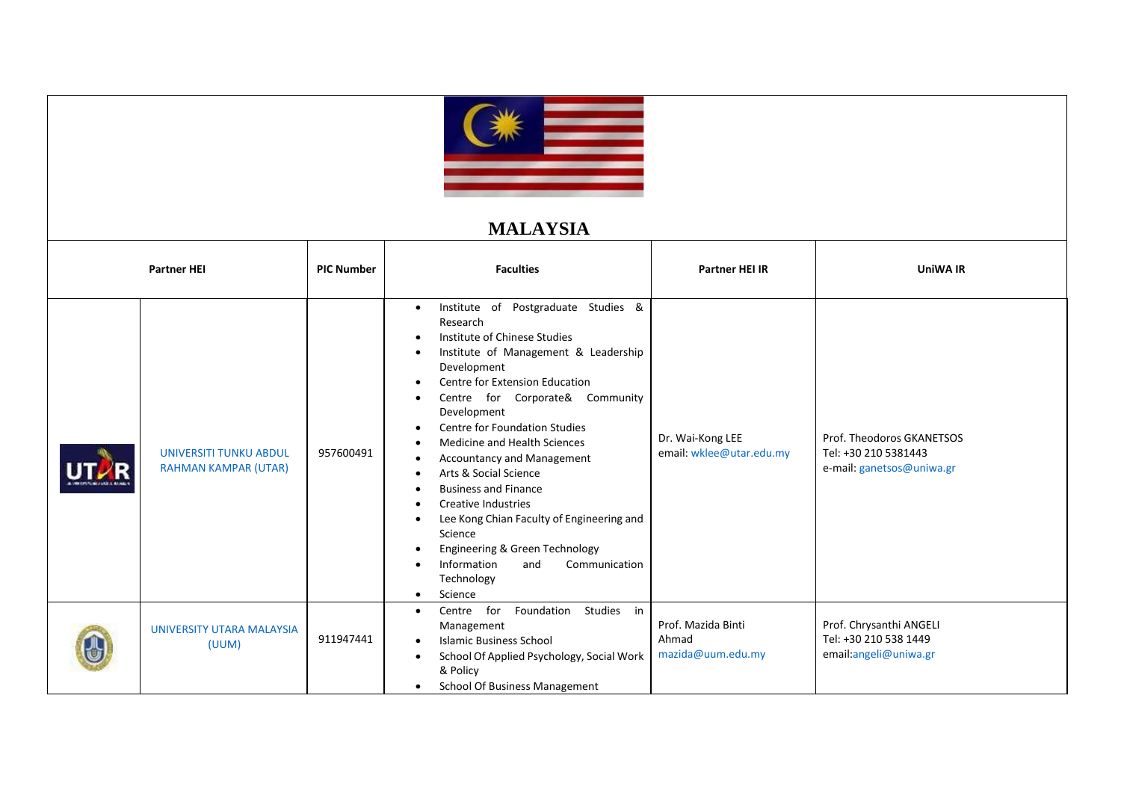

## **MALAYSIA**

| <b>Partner HEI</b>                                           | <b>PIC Number</b> | <b>Faculties</b>                                                                                                                                                                                                                                                                                                                                                                                                                                                                                                                                                                                                                     | <b>Partner HEI IR</b>                            | <b>UniWA IR</b>                                                                |
|--------------------------------------------------------------|-------------------|--------------------------------------------------------------------------------------------------------------------------------------------------------------------------------------------------------------------------------------------------------------------------------------------------------------------------------------------------------------------------------------------------------------------------------------------------------------------------------------------------------------------------------------------------------------------------------------------------------------------------------------|--------------------------------------------------|--------------------------------------------------------------------------------|
| <b>UNIVERSITI TUNKU ABDUL</b><br><b>RAHMAN KAMPAR (UTAR)</b> | 957600491         | Institute of Postgraduate Studies &<br>$\bullet$<br>Research<br>Institute of Chinese Studies<br>Institute of Management & Leadership<br>Development<br>Centre for Extension Education<br>$\bullet$<br>Centre for Corporate& Community<br>Development<br><b>Centre for Foundation Studies</b><br>$\bullet$<br>Medicine and Health Sciences<br>Accountancy and Management<br>Arts & Social Science<br><b>Business and Finance</b><br><b>Creative Industries</b><br>Lee Kong Chian Faculty of Engineering and<br>Science<br>Engineering & Green Technology<br>Information<br>Communication<br>and<br>Technology<br>Science<br>$\bullet$ | Dr. Wai-Kong LEE<br>email: wklee@utar.edu.my     | Prof. Theodoros GKANETSOS<br>Tel: +30 210 5381443<br>e-mail: ganetsos@uniwa.gr |
| <b>UNIVERSITY UTARA MALAYSIA</b><br>(UUM)                    | 911947441         | Studies<br>Centre for<br>Foundation<br>in<br>$\bullet$<br>Management<br><b>Islamic Business School</b><br>School Of Applied Psychology, Social Work<br>& Policy<br><b>School Of Business Management</b>                                                                                                                                                                                                                                                                                                                                                                                                                              | Prof. Mazida Binti<br>Ahmad<br>mazida@uum.edu.my | Prof. Chrysanthi ANGELI<br>Tel: +30 210 538 1449<br>email:angeli@uniwa.gr      |